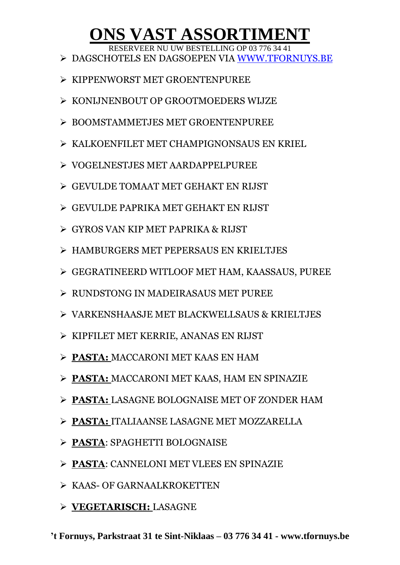## **ONS VAST ASSORTIMENT**

RESERVEER NU UW BESTELLING OP 03 776 34 41

- DAGSCHOTELS EN DAGSOEPEN VIA [WWW.TFORNUYS.BE](http://www.tfornuys.be/)
- $\triangleright$  KIPPENWORST MET GROENTENPUREE
- $\triangleright$  KONLINENBOUT OP GROOTMOEDERS WLIZE
- BOOMSTAMMETJES MET GROENTENPUREE
- KALKOENFILET MET CHAMPIGNONSAUS EN KRIEL
- VOGELNESTJES MET AARDAPPELPUREE
- GEVULDE TOMAAT MET GEHAKT EN RIJST
- GEVULDE PAPRIKA MET GEHAKT EN RIJST
- GYROS VAN KIP MET PAPRIKA & RIJST
- HAMBURGERS MET PEPERSAUS EN KRIELTJES
- GEGRATINEERD WITLOOF MET HAM, KAASSAUS, PUREE
- RUNDSTONG IN MADEIRASAUS MET PUREE
- VARKENSHAASJE MET BLACKWELLSAUS & KRIELTJES
- KIPFILET MET KERRIE, ANANAS EN RIJST
- **PASTA:** MACCARONI MET KAAS EN HAM
- **PASTA:** MACCARONI MET KAAS, HAM EN SPINAZIE
- **PASTA:** LASAGNE BOLOGNAISE MET OF ZONDER HAM
- **PASTA:** ITALIAANSE LASAGNE MET MOZZARELLA
- **PASTA**: SPAGHETTI BOLOGNAISE
- **PASTA**: CANNELONI MET VLEES EN SPINAZIE
- $\triangleright$  KAAS- OF GARNAALKROKETTEN
- **VEGETARISCH:** LASAGNE